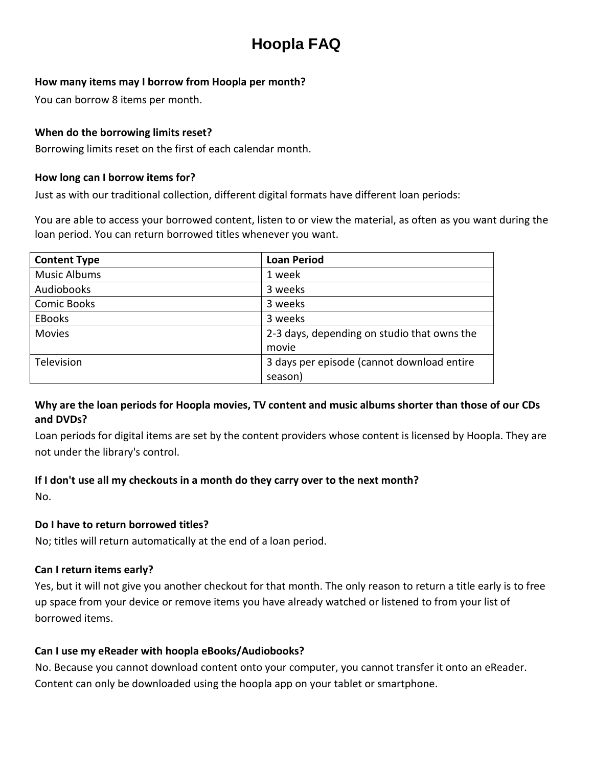# **Hoopla FAQ**

#### **How many items may I borrow from Hoopla per month?**

You can borrow 8 items per month.

#### **When do the borrowing limits reset?**

Borrowing limits reset on the first of each calendar month.

#### **How long can I borrow items for?**

Just as with our traditional collection, different digital formats have different loan periods:

You are able to access your borrowed content, listen to or view the material, as often as you want during the loan period. You can return borrowed titles whenever you want.

| <b>Content Type</b> | <b>Loan Period</b>                          |
|---------------------|---------------------------------------------|
| <b>Music Albums</b> | 1 week                                      |
| Audiobooks          | 3 weeks                                     |
| <b>Comic Books</b>  | 3 weeks                                     |
| <b>EBooks</b>       | 3 weeks                                     |
| <b>Movies</b>       | 2-3 days, depending on studio that owns the |
|                     | movie                                       |
| Television          | 3 days per episode (cannot download entire  |
|                     | season)                                     |

### **Why are the loan periods for Hoopla movies, TV content and music albums shorter than those of our CDs and DVDs?**

Loan periods for digital items are set by the content providers whose content is licensed by Hoopla. They are not under the library's control.

#### **If I don't use all my checkouts in a month do they carry over to the next month?**

No.

#### **Do I have to return borrowed titles?**

No; titles will return automatically at the end of a loan period.

#### **Can I return items early?**

Yes, but it will not give you another checkout for that month. The only reason to return a title early is to free up space from your device or remove items you have already watched or listened to from your list of borrowed items.

#### **Can I use my eReader with hoopla eBooks/Audiobooks?**

No. Because you cannot download content onto your computer, you cannot transfer it onto an eReader. Content can only be downloaded using the hoopla app on your tablet or smartphone.